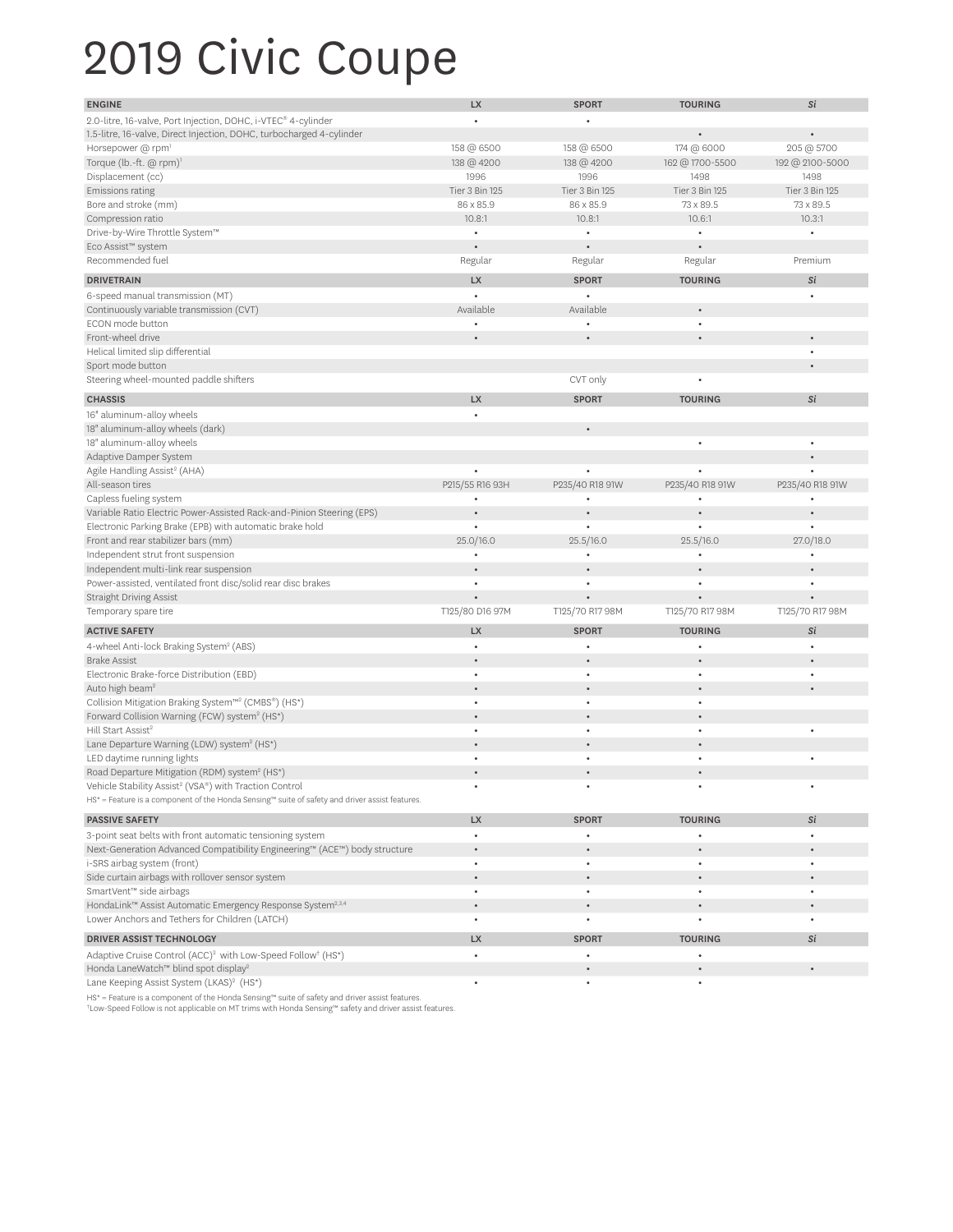## 2019 Civic Coupe

| <b>ENGINE</b>                                                                                                                   | <b>LX</b>       | <b>SPORT</b>    | <b>TOURING</b>  | Si              |
|---------------------------------------------------------------------------------------------------------------------------------|-----------------|-----------------|-----------------|-----------------|
| 2.0-litre, 16-valve, Port Injection, DOHC, i-VTEC® 4-cylinder                                                                   | $\bullet$       |                 |                 |                 |
| 1.5-litre, 16-valve, Direct Injection, DOHC, turbocharged 4-cylinder                                                            |                 |                 |                 |                 |
| Horsepower @ rpm <sup>1</sup>                                                                                                   | 158 @ 6500      | 158 @ 6500      | 174 @ 6000      | 205 @ 5700      |
| Torque (lb.-ft. @ rpm) <sup>1</sup>                                                                                             | 138 @ 4200      | 138 @ 4200      | 162 @ 1700-5500 | 192 @ 2100-5000 |
| Displacement (cc)                                                                                                               | 1996            | 1996            | 1498            | 1498            |
| <b>Emissions rating</b>                                                                                                         | Tier 3 Bin 125  | Tier 3 Bin 125  | Tier 3 Bin 125  | Tier 3 Bin 125  |
| Bore and stroke (mm)                                                                                                            | 86 x 85.9       | 86 x 85.9       | 73 x 89.5       | 73 x 89.5       |
| Compression ratio                                                                                                               | 10.8:1          | 10.8:1          | 10.6:1          | 10.3:1          |
| Drive-by-Wire Throttle System™                                                                                                  |                 |                 |                 |                 |
| Eco Assist™ system                                                                                                              |                 |                 |                 |                 |
| Recommended fuel                                                                                                                | Regular         | Regular         | Regular         | Premium         |
| <b>DRIVETRAIN</b>                                                                                                               | <b>LX</b>       | <b>SPORT</b>    | <b>TOURING</b>  | Si              |
| 6-speed manual transmission (MT)                                                                                                |                 |                 |                 | $\bullet$       |
| Continuously variable transmission (CVT)                                                                                        | Available       | Available       |                 |                 |
| ECON mode button                                                                                                                |                 |                 | $\bullet$       |                 |
| Front-wheel drive                                                                                                               |                 |                 | $\bullet$       | $\bullet$       |
| Helical limited slip differential                                                                                               |                 |                 |                 | $\bullet$       |
| Sport mode button                                                                                                               |                 |                 |                 |                 |
| Steering wheel-mounted paddle shifters                                                                                          |                 | CVT only        | ٠               |                 |
| <b>CHASSIS</b>                                                                                                                  | <b>LX</b>       | <b>SPORT</b>    | <b>TOURING</b>  | Si              |
| 16" aluminum-alloy wheels                                                                                                       | $\bullet$       |                 |                 |                 |
| 18" aluminum-alloy wheels (dark)                                                                                                |                 | $\bullet$       |                 |                 |
| 18" aluminum-alloy wheels                                                                                                       |                 |                 | $\bullet$       | $\bullet$       |
| Adaptive Damper System                                                                                                          |                 |                 |                 | $\bullet$       |
| Agile Handling Assist <sup>2</sup> (AHA)                                                                                        |                 |                 |                 |                 |
| All-season tires                                                                                                                | P215/55 R16 93H | P235/40 R18 91W | P235/40 R18 91W | P235/40 R18 91W |
| Capless fueling system                                                                                                          |                 |                 |                 |                 |
| Variable Ratio Electric Power-Assisted Rack-and-Pinion Steering (EPS)                                                           |                 |                 |                 |                 |
| Electronic Parking Brake (EPB) with automatic brake hold                                                                        |                 |                 | $\bullet$       | ٠               |
| Front and rear stabilizer bars (mm)                                                                                             | 25.0/16.0       | 25.5/16.0       | 25.5/16.0       | 27.0/18.0       |
| Independent strut front suspension                                                                                              |                 |                 | $\bullet$       |                 |
| Independent multi-link rear suspension                                                                                          |                 |                 | $\bullet$       |                 |
| Power-assisted, ventilated front disc/solid rear disc brakes                                                                    | $\bullet$       | $\bullet$       | $\bullet$       | $\bullet$       |
| <b>Straight Driving Assist</b>                                                                                                  |                 |                 |                 |                 |
| Temporary spare tire                                                                                                            | T125/80 D16 97M | T125/70 R17 98M | T125/70 R17 98M | T125/70 R17 98M |
| <b>ACTIVE SAFETY</b>                                                                                                            | <b>LX</b>       | <b>SPORT</b>    | <b>TOURING</b>  | Si              |
| 4-wheel Anti-lock Braking System <sup>2</sup> (ABS)                                                                             | $\bullet$       |                 |                 | ٠               |
| <b>Brake Assist</b>                                                                                                             | $\bullet$       |                 |                 |                 |
| Electronic Brake-force Distribution (EBD)                                                                                       | ٠               |                 |                 |                 |
| Auto high beam <sup>2</sup>                                                                                                     |                 |                 |                 | $\bullet$       |
| Collision Mitigation Braking System™ <sup>2</sup> (CMBS®) (HS*)                                                                 | ٠               |                 |                 |                 |
| Forward Collision Warning (FCW) system <sup>2</sup> (HS*)                                                                       |                 |                 |                 |                 |
| Hill Start Assist <sup>2</sup>                                                                                                  |                 |                 |                 |                 |
| Lane Departure Warning (LDW) system <sup>2</sup> (HS*)                                                                          |                 |                 |                 |                 |
| LED daytime running lights                                                                                                      |                 |                 |                 |                 |
| Road Departure Mitigation (RDM) system <sup>2</sup> (HS*)<br>Vehicle Stability Assist <sup>2</sup> (VSA®) with Traction Control |                 |                 |                 | $\bullet$       |
| HS <sup>*</sup> = Feature is a component of the Honda Sensing™ suite of safety and driver assist features.                      |                 |                 |                 |                 |
| <b>PASSIVE SAFETY</b>                                                                                                           | <b>LX</b>       | <b>SPORT</b>    | <b>TOURING</b>  | Si              |
| 3-point seat belts with front automatic tensioning system                                                                       | $\bullet$       |                 | $\bullet$       | $\bullet$       |
| Next-Generation Advanced Compatibility Engineering™ (ACE™) body structure                                                       | $\bullet$       |                 |                 |                 |
| i-SRS airbag system (front)                                                                                                     | $\bullet$       | $\bullet$       | ٠               | $\bullet$       |
| Side curtain airbags with rollover sensor system                                                                                |                 |                 |                 |                 |
| SmartVent™ side airbags                                                                                                         | $\bullet$       | $\bullet$       | $\bullet$       | $\bullet$       |
| HondaLink™ Assist Automatic Emergency Response System <sup>2,3,4</sup>                                                          |                 |                 |                 |                 |
| Lower Anchors and Tethers for Children (LATCH)                                                                                  | $\bullet$       | $\bullet$       | ٠               | $\bullet$       |
| <b>DRIVER ASSIST TECHNOLOGY</b>                                                                                                 | <b>LX</b>       | <b>SPORT</b>    | <b>TOURING</b>  | Si              |
| Adaptive Cruise Control (ACC) <sup>2</sup> with Low-Speed Follow <sup>+</sup> (HS*)                                             | $\bullet$       |                 | ٠               |                 |
| Honda LaneWatch™ blind spot display <sup>2</sup>                                                                                |                 |                 |                 | $\bullet$       |
| Lane Keeping Assist System (LKAS) <sup>2</sup> (HS*)                                                                            | $\bullet$       | ٠               | $\bullet$       |                 |
|                                                                                                                                 |                 |                 |                 |                 |

HS\* = Feature is a component of the Honda Sensing™ suite of safety and driver assist features.<br>†Low-Speed Follow is not applicable on MT trims with Honda Sensing™ safety and driver assist features.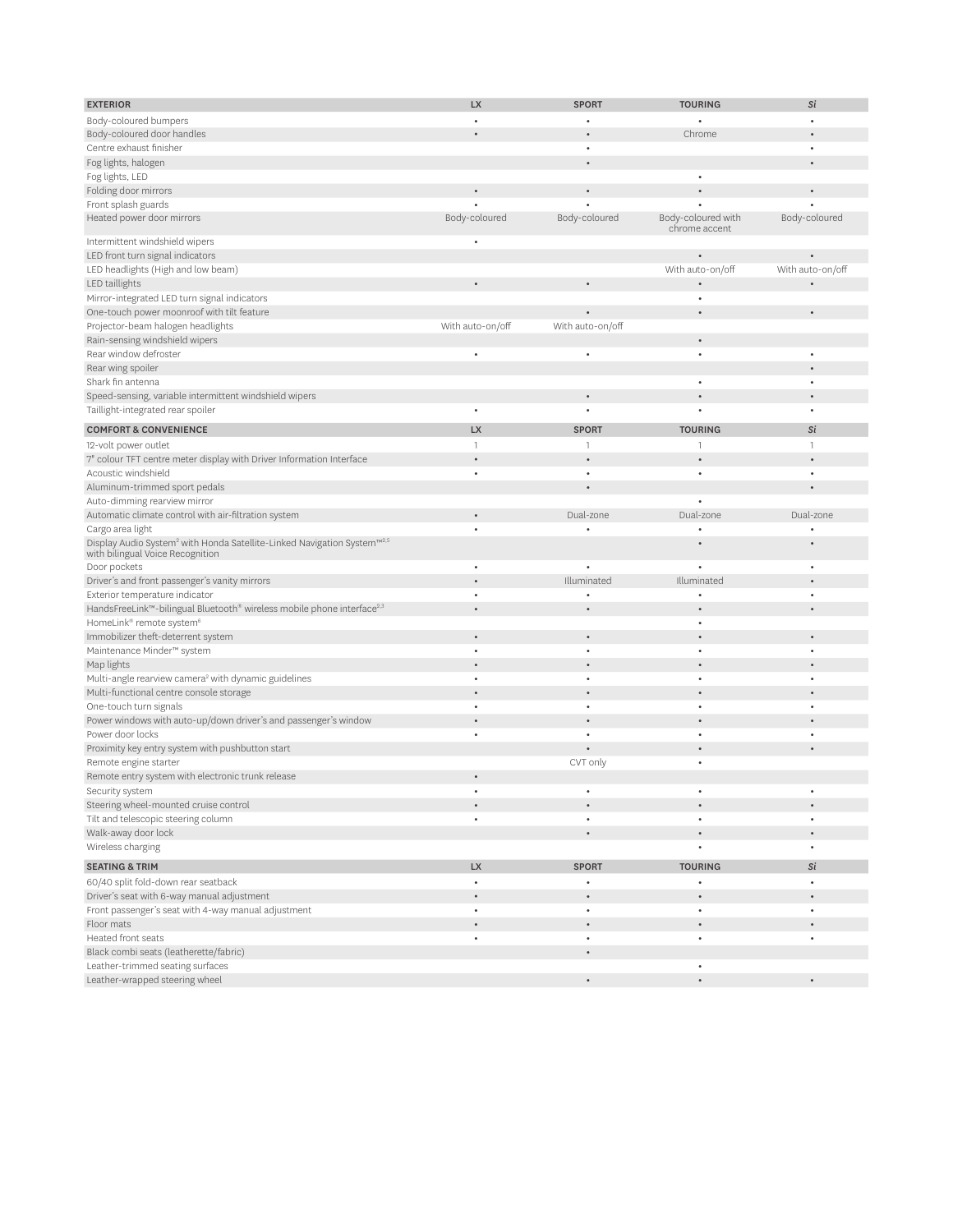| <b>EXTERIOR</b>                                                                                 | <b>LX</b>                | <b>SPORT</b>     | <b>TOURING</b>     | Si               |
|-------------------------------------------------------------------------------------------------|--------------------------|------------------|--------------------|------------------|
|                                                                                                 |                          |                  |                    |                  |
| Body-coloured bumpers                                                                           | $\bullet$                |                  |                    | $\bullet$        |
| Body-coloured door handles                                                                      |                          |                  | Chrome             | $\bullet$        |
| Centre exhaust finisher                                                                         |                          |                  |                    | ٠                |
| Fog lights, halogen                                                                             |                          |                  |                    | $\bullet$        |
| Fog lights, LED                                                                                 |                          |                  | $\bullet$          |                  |
| Folding door mirrors                                                                            | $\bullet$                | $\bullet$        |                    | $\bullet$        |
| Front splash guards                                                                             |                          |                  |                    |                  |
| Heated power door mirrors                                                                       | Body-coloured            | Body-coloured    | Body-coloured with | Body-coloured    |
|                                                                                                 |                          |                  | chrome accent      |                  |
| Intermittent windshield wipers                                                                  | $\bullet$                |                  |                    |                  |
| LED front turn signal indicators                                                                |                          |                  |                    | ٠                |
| LED headlights (High and low beam)                                                              |                          |                  | With auto-on/off   | With auto-on/off |
| LED taillights                                                                                  | $\bullet$                | $\bullet$        |                    |                  |
| Mirror-integrated LED turn signal indicators                                                    |                          |                  | ٠                  |                  |
| One-touch power moonroof with tilt feature                                                      |                          |                  | $\bullet$          | $\bullet$        |
| Projector-beam halogen headlights                                                               | With auto-on/off         | With auto-on/off |                    |                  |
| Rain-sensing windshield wipers                                                                  |                          |                  | $\bullet$          |                  |
| Rear window defroster                                                                           | $\bullet$                | $\bullet$        | ٠                  | ٠                |
| Rear wing spoiler                                                                               |                          |                  |                    | $\bullet$        |
| Shark fin antenna                                                                               |                          |                  | ٠                  | ٠                |
| Speed-sensing, variable intermittent windshield wipers                                          |                          |                  |                    |                  |
|                                                                                                 | $\bullet$                | $\bullet$        |                    | $\bullet$        |
| Taillight-integrated rear spoiler                                                               |                          |                  |                    | ٠                |
| <b>COMFORT &amp; CONVENIENCE</b>                                                                | <b>LX</b>                | <b>SPORT</b>     | <b>TOURING</b>     | Si               |
| 12-volt power outlet                                                                            | $\overline{\phantom{a}}$ | $\mathbf{1}$     | $\mathbf{1}$       | $\mathbf{1}$     |
| 7" colour TFT centre meter display with Driver Information Interface                            | $\bullet$                |                  |                    | $\bullet$        |
| Acoustic windshield                                                                             | $\bullet$                |                  | ٠                  | $\bullet$        |
| Aluminum-trimmed sport pedals                                                                   |                          |                  |                    | ٠                |
| Auto-dimming rearview mirror                                                                    |                          |                  |                    |                  |
| Automatic climate control with air-filtration system                                            | $\bullet$                | Dual-zone        | Dual-zone          | Dual-zone        |
| Cargo area light                                                                                | ٠                        |                  |                    |                  |
| Display Audio System <sup>2</sup> with Honda Satellite-Linked Navigation System <sup>™2,5</sup> |                          |                  |                    |                  |
| with bilingual Voice Recognition                                                                |                          |                  |                    |                  |
| Door pockets                                                                                    | $\bullet$                |                  | ٠                  | $\bullet$        |
| Driver's and front passenger's vanity mirrors                                                   | ٠                        | Illuminated      | Illuminated        | ٠                |
| Exterior temperature indicator                                                                  | $\bullet$                |                  | $\bullet$          | ٠                |
| HandsFreeLink™-bilingual Bluetooth® wireless mobile phone interface <sup>2,3</sup>              | ٠                        |                  |                    | $\bullet$        |
| HomeLink® remote system <sup>6</sup>                                                            |                          |                  | $\bullet$          |                  |
| Immobilizer theft-deterrent system                                                              | $\bullet$                |                  |                    | $\bullet$        |
| Maintenance Minder™ system                                                                      | $\bullet$                |                  | ٠                  | ٠                |
| Map lights                                                                                      |                          |                  |                    |                  |
|                                                                                                 | $\bullet$                |                  | $\bullet$          | ٠                |
| Multi-angle rearview camera <sup>2</sup> with dynamic guidelines                                |                          |                  |                    |                  |
| Multi-functional centre console storage                                                         |                          |                  |                    |                  |
| One-touch turn signals                                                                          | ٠                        |                  | ٠                  | $\bullet$        |
| Power windows with auto-up/down driver's and passenger's window                                 |                          |                  |                    |                  |
| Power door locks                                                                                | $\bullet$                |                  | ٠                  | $\bullet$        |
| Proximity key entry system with pushbutton start                                                |                          |                  |                    |                  |
| Remote engine starter                                                                           |                          | CVT only         | ٠                  |                  |
| Remote entry system with electronic trunk release                                               |                          |                  |                    |                  |
| Security system                                                                                 |                          |                  |                    |                  |
| Steering wheel-mounted cruise control                                                           |                          |                  |                    | $\bullet$        |
| Tilt and telescopic steering column                                                             | $\bullet$                | $\bullet$        | $\bullet$          | $\bullet$        |
| Walk-away door lock                                                                             |                          |                  |                    | $\bullet$        |
| Wireless charging                                                                               |                          |                  |                    | $\bullet$        |
| <b>SEATING &amp; TRIM</b>                                                                       | <b>LX</b>                | <b>SPORT</b>     | <b>TOURING</b>     | Si               |
| 60/40 split fold-down rear seatback                                                             | $\bullet$                |                  |                    | $\bullet$        |
| Driver's seat with 6-way manual adjustment                                                      |                          |                  |                    | $\bullet$        |
|                                                                                                 | $\bullet$                | $\bullet$        | $\bullet$          | $\bullet$        |
| Front passenger's seat with 4-way manual adjustment                                             |                          |                  |                    |                  |
| Floor mats                                                                                      |                          |                  |                    | $\bullet$        |
| Heated front seats                                                                              | $\bullet$                | $\bullet$        | $\bullet$          | $\bullet$        |
| Black combi seats (leatherette/fabric)                                                          |                          | $\bullet$        |                    |                  |
| Leather-trimmed seating surfaces                                                                |                          |                  | $\bullet$          |                  |
| Leather-wrapped steering wheel                                                                  |                          | $\bullet$        | $\bullet$          | $\bullet$        |